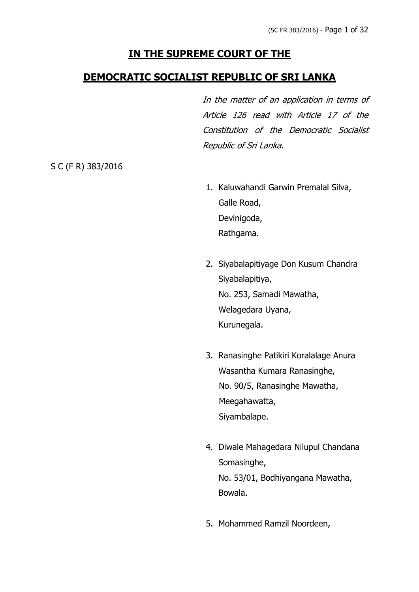# **IN THE SUPREME COURT OF THE**

## **DEMOCRATIC SOCIALIST REPUBLIC OF SRI LANKA**

In the matter of an application in terms of Article 126 read with Article 17 of the Constitution of the Democratic Socialist Republic of Sri Lanka.

S C (F R) 383/2016

- 1. Kaluwahandi Garwin Premalal Silva, Galle Road, Devinigoda, Rathgama.
- 2. Siyabalapitiyage Don Kusum Chandra Siyabalapitiya, No. 253, Samadi Mawatha, Welagedara Uyana, Kurunegala.
- 3. Ranasinghe Patikiri Koralalage Anura Wasantha Kumara Ranasinghe, No. 90/5, Ranasinghe Mawatha, Meegahawatta, Siyambalape.
- 4. Diwale Mahagedara Nilupul Chandana Somasinghe, No. 53/01, Bodhiyangana Mawatha, Bowala.
- 5. Mohammed Ramzil Noordeen,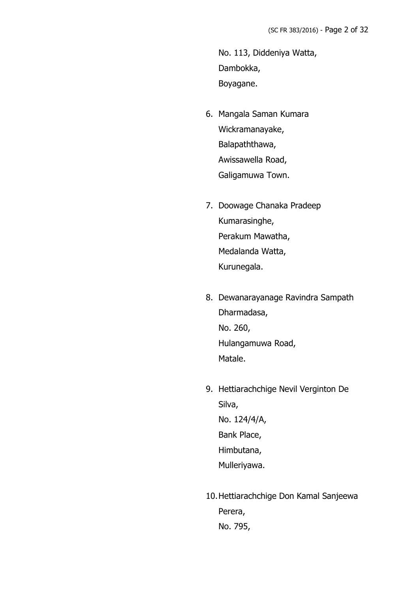No. 113, Diddeniya Watta, Dambokka, Boyagane.

- 6. Mangala Saman Kumara Wickramanayake, Balapaththawa, Awissawella Road, Galigamuwa Town.
- 7. Doowage Chanaka Pradeep Kumarasinghe, Perakum Mawatha, Medalanda Watta, Kurunegala.
- 8. Dewanarayanage Ravindra Sampath Dharmadasa, No. 260, Hulangamuwa Road, Matale.
- 9. Hettiarachchige Nevil Verginton De Silva, No. 124/4/A, Bank Place, Himbutana, Mulleriyawa.
- 10.Hettiarachchige Don Kamal Sanjeewa Perera, No. 795,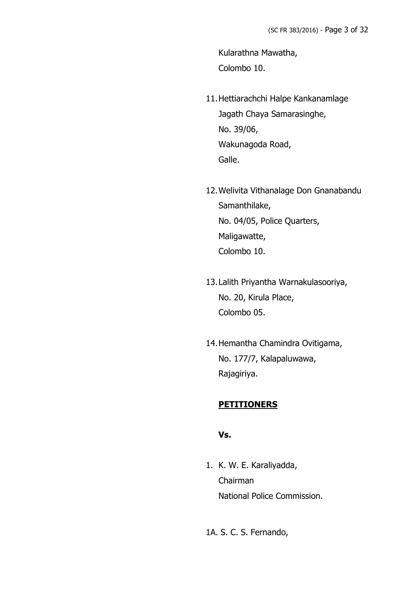Kularathna Mawatha, Colombo 10.

- 11.Hettiarachchi Halpe Kankanamlage Jagath Chaya Samarasinghe, No. 39/06, Wakunagoda Road, Galle.
- 12.Welivita Vithanalage Don Gnanabandu Samanthilake, No. 04/05, Police Quarters, Maligawatte, Colombo 10.
- 13.Lalith Priyantha Warnakulasooriya, No. 20, Kirula Place, Colombo 05.
- 14.Hemantha Chamindra Ovitigama, No. 177/7, Kalapaluwawa, Rajagiriya.

## **PETITIONERS**

### **Vs.**

1. K. W. E. Karaliyadda, Chairman National Police Commission.

1A. S. C. S. Fernando,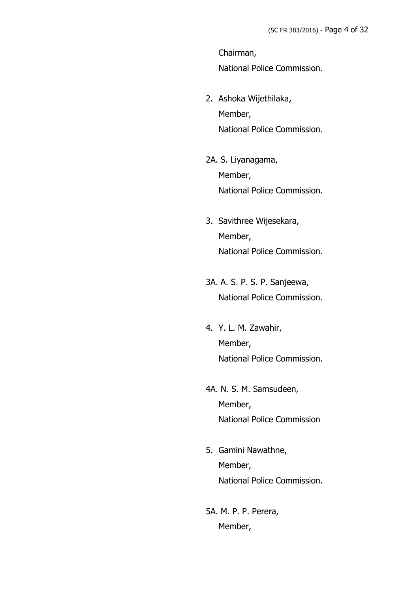Chairman, National Police Commission.

- 2. Ashoka Wijethilaka, Member, National Police Commission.
- 2A. S. Liyanagama, Member, National Police Commission.
- 3. Savithree Wijesekara, Member, National Police Commission.
- 3A. A. S. P. S. P. Sanjeewa, National Police Commission.
- 4. Y. L. M. Zawahir, Member, National Police Commission.
- 4A. N. S. M. Samsudeen, Member, National Police Commission
- 5. Gamini Nawathne, Member, National Police Commission.
- 5A. M. P. P. Perera, Member,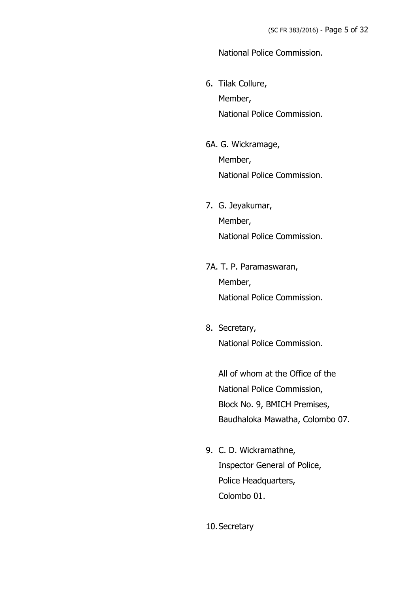### National Police Commission.

- 6. Tilak Collure, Member, National Police Commission.
- 6A. G. Wickramage, Member, National Police Commission.
- 7. G. Jeyakumar, Member, National Police Commission.
- 7A. T. P. Paramaswaran, Member, National Police Commission.
- 8. Secretary, National Police Commission.

All of whom at the Office of the National Police Commission, Block No. 9, BMICH Premises, Baudhaloka Mawatha, Colombo 07.

- 9. C. D. Wickramathne, Inspector General of Police, Police Headquarters, Colombo 01.
- 10.Secretary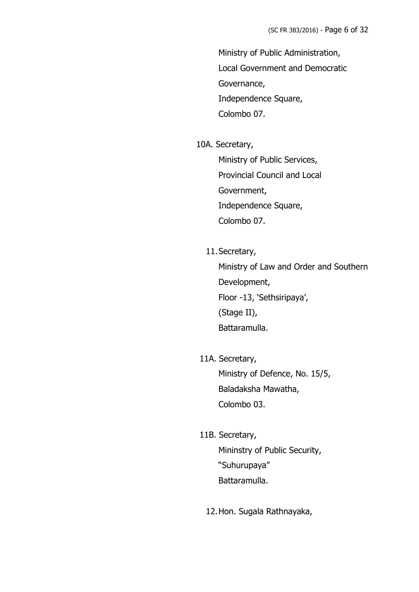Ministry of Public Administration, Local Government and Democratic Governance, Independence Square, Colombo 07.

#### 10A. Secretary,

Ministry of Public Services, Provincial Council and Local Government, Independence Square, Colombo 07.

11.Secretary,

Ministry of Law and Order and Southern Development, Floor -13, 'Sethsiripaya', (Stage II), Battaramulla.

11A. Secretary,

Ministry of Defence, No. 15/5, Baladaksha Mawatha, Colombo 03.

11B. Secretary,

Mininstry of Public Security, "Suhurupaya" Battaramulla.

12.Hon. Sugala Rathnayaka,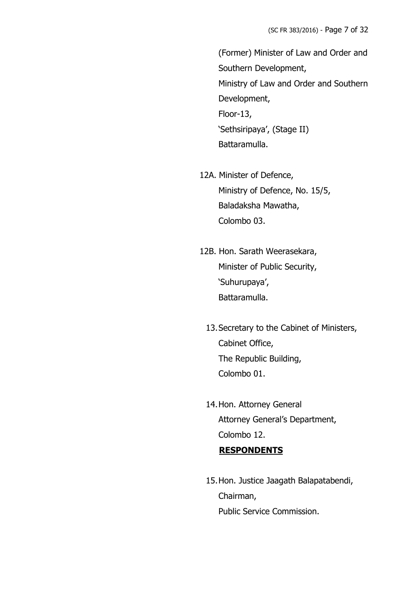(Former) Minister of Law and Order and Southern Development, Ministry of Law and Order and Southern Development, Floor-13, 'Sethsiripaya', (Stage II) Battaramulla.

- 12A. Minister of Defence, Ministry of Defence, No. 15/5, Baladaksha Mawatha, Colombo 03.
- 12B. Hon. Sarath Weerasekara, Minister of Public Security, 'Suhurupaya', Battaramulla.
	- 13.Secretary to the Cabinet of Ministers, Cabinet Office, The Republic Building, Colombo 01.
	- 14.Hon. Attorney General Attorney General's Department, Colombo 12.

## **RESPONDENTS**

15.Hon. Justice Jaagath Balapatabendi, Chairman, Public Service Commission.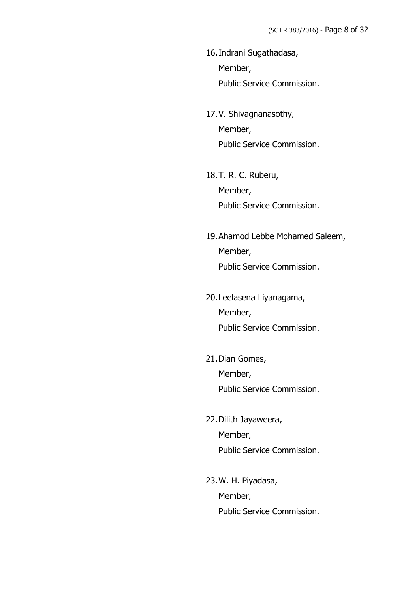- 16.Indrani Sugathadasa, Member, Public Service Commission.
- 17.V. Shivagnanasothy, Member, Public Service Commission.
- 18.T. R. C. Ruberu, Member, Public Service Commission.
- 19.Ahamod Lebbe Mohamed Saleem, Member, Public Service Commission.
- 20.Leelasena Liyanagama, Member, Public Service Commission.
- 21.Dian Gomes, Member, Public Service Commission.
- 22.Dilith Jayaweera, Member, Public Service Commission.
- 23.W. H. Piyadasa, Member, Public Service Commission.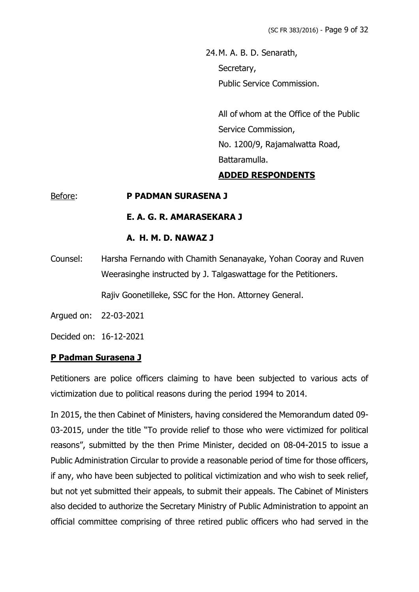24.M. A. B. D. Senarath, Secretary, Public Service Commission.

> All of whom at the Office of the Public Service Commission, No. 1200/9, Rajamalwatta Road, Battaramulla.

## **ADDED RESPONDENTS**

### Before: **P PADMAN SURASENA J**

#### **E. A. G. R. AMARASEKARA J**

### **A. H. M. D. NAWAZ J**

Counsel: Harsha Fernando with Chamith Senanayake, Yohan Cooray and Ruven Weerasinghe instructed by J. Talgaswattage for the Petitioners.

Rajiv Goonetilleke, SSC for the Hon. Attorney General.

Argued on: 22-03-2021

Decided on: 16-12-2021

### **P Padman Surasena J**

Petitioners are police officers claiming to have been subjected to various acts of victimization due to political reasons during the period 1994 to 2014.

In 2015, the then Cabinet of Ministers, having considered the Memorandum dated 09- 03-2015, under the title "To provide relief to those who were victimized for political reasons", submitted by the then Prime Minister, decided on 08-04-2015 to issue a Public Administration Circular to provide a reasonable period of time for those officers, if any, who have been subjected to political victimization and who wish to seek relief, but not yet submitted their appeals, to submit their appeals. The Cabinet of Ministers also decided to authorize the Secretary Ministry of Public Administration to appoint an official committee comprising of three retired public officers who had served in the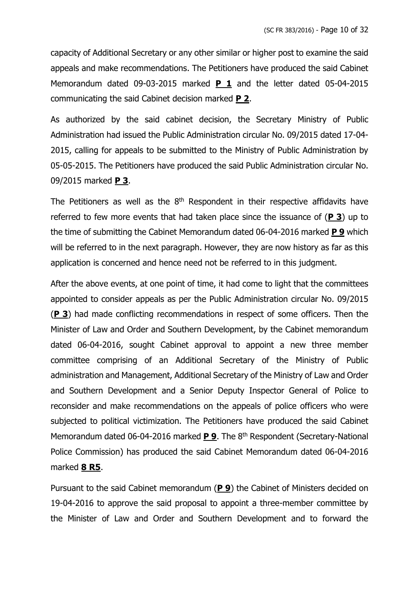capacity of Additional Secretary or any other similar or higher post to examine the said appeals and make recommendations. The Petitioners have produced the said Cabinet Memorandum dated 09-03-2015 marked **P 1** and the letter dated 05-04-2015 communicating the said Cabinet decision marked **P 2**.

As authorized by the said cabinet decision, the Secretary Ministry of Public Administration had issued the Public Administration circular No. 09/2015 dated 17-04- 2015, calling for appeals to be submitted to the Ministry of Public Administration by 05-05-2015. The Petitioners have produced the said Public Administration circular No. 09/2015 marked **P 3**.

The Petitioners as well as the  $8<sup>th</sup>$  Respondent in their respective affidavits have referred to few more events that had taken place since the issuance of (**P 3**) up to the time of submitting the Cabinet Memorandum dated 06-04-2016 marked **P 9** which will be referred to in the next paragraph. However, they are now history as far as this application is concerned and hence need not be referred to in this judgment.

After the above events, at one point of time, it had come to light that the committees appointed to consider appeals as per the Public Administration circular No. 09/2015 (**P 3**) had made conflicting recommendations in respect of some officers. Then the Minister of Law and Order and Southern Development, by the Cabinet memorandum dated 06-04-2016, sought Cabinet approval to appoint a new three member committee comprising of an Additional Secretary of the Ministry of Public administration and Management, Additional Secretary of the Ministry of Law and Order and Southern Development and a Senior Deputy Inspector General of Police to reconsider and make recommendations on the appeals of police officers who were subjected to political victimization. The Petitioners have produced the said Cabinet Memorandum dated 06-04-2016 marked **P 9**. The 8 th Respondent (Secretary-National Police Commission) has produced the said Cabinet Memorandum dated 06-04-2016 marked **8 R5**.

Pursuant to the said Cabinet memorandum (**P 9**) the Cabinet of Ministers decided on 19-04-2016 to approve the said proposal to appoint a three-member committee by the Minister of Law and Order and Southern Development and to forward the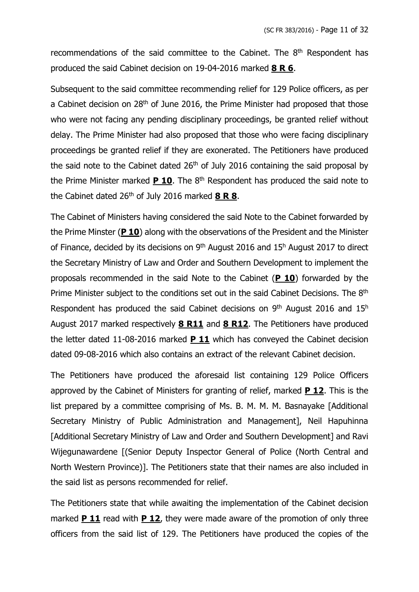recommendations of the said committee to the Cabinet. The  $8<sup>th</sup>$  Respondent has produced the said Cabinet decision on 19-04-2016 marked **8 R 6**.

Subsequent to the said committee recommending relief for 129 Police officers, as per a Cabinet decision on 28<sup>th</sup> of June 2016, the Prime Minister had proposed that those who were not facing any pending disciplinary proceedings, be granted relief without delay. The Prime Minister had also proposed that those who were facing disciplinary proceedings be granted relief if they are exonerated. The Petitioners have produced the said note to the Cabinet dated  $26<sup>th</sup>$  of July 2016 containing the said proposal by the Prime Minister marked **P 10**. The 8<sup>th</sup> Respondent has produced the said note to the Cabinet dated 26th of July 2016 marked **8 R 8**.

The Cabinet of Ministers having considered the said Note to the Cabinet forwarded by the Prime Minster (**P 10**) along with the observations of the President and the Minister of Finance, decided by its decisions on  $9<sup>th</sup>$  August 2016 and 15<sup>h</sup> August 2017 to direct the Secretary Ministry of Law and Order and Southern Development to implement the proposals recommended in the said Note to the Cabinet (**P 10**) forwarded by the Prime Minister subject to the conditions set out in the said Cabinet Decisions. The 8<sup>th</sup> Respondent has produced the said Cabinet decisions on 9<sup>th</sup> August 2016 and 15<sup>h</sup> August 2017 marked respectively **8 R11** and **8 R12**. The Petitioners have produced the letter dated 11-08-2016 marked **P 11** which has conveyed the Cabinet decision dated 09-08-2016 which also contains an extract of the relevant Cabinet decision.

The Petitioners have produced the aforesaid list containing 129 Police Officers approved by the Cabinet of Ministers for granting of relief, marked **P 12**. This is the list prepared by a committee comprising of Ms. B. M. M. M. Basnayake [Additional Secretary Ministry of Public Administration and Management], Neil Hapuhinna [Additional Secretary Ministry of Law and Order and Southern Development] and Ravi Wijegunawardene [(Senior Deputy Inspector General of Police (North Central and North Western Province)]. The Petitioners state that their names are also included in the said list as persons recommended for relief.

The Petitioners state that while awaiting the implementation of the Cabinet decision marked **P 11** read with **P 12**, they were made aware of the promotion of only three officers from the said list of 129. The Petitioners have produced the copies of the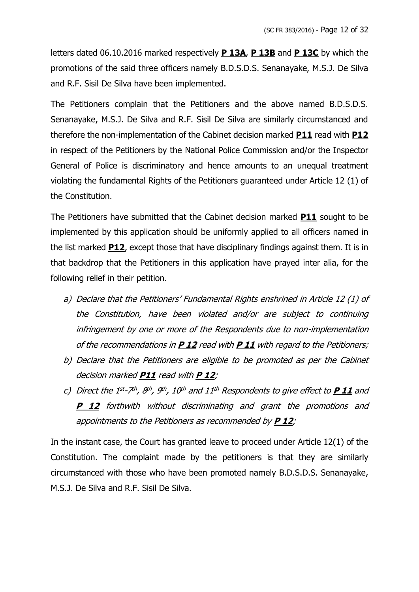letters dated 06.10.2016 marked respectively **P 13A**, **P 13B** and **P 13C** by which the promotions of the said three officers namely B.D.S.D.S. Senanayake, M.S.J. De Silva and R.F. Sisil De Silva have been implemented.

The Petitioners complain that the Petitioners and the above named B.D.S.D.S. Senanayake, M.S.J. De Silva and R.F. Sisil De Silva are similarly circumstanced and therefore the non-implementation of the Cabinet decision marked **P11** read with **P12** in respect of the Petitioners by the National Police Commission and/or the Inspector General of Police is discriminatory and hence amounts to an unequal treatment violating the fundamental Rights of the Petitioners guaranteed under Article 12 (1) of the Constitution.

The Petitioners have submitted that the Cabinet decision marked **P11** sought to be implemented by this application should be uniformly applied to all officers named in the list marked **P12**, except those that have disciplinary findings against them. It is in that backdrop that the Petitioners in this application have prayed inter alia, for the following relief in their petition.

- a) Declare that the Petitioners' Fundamental Rights enshrined in Article 12 (1) of the Constitution, have been violated and/or are subject to continuing infringement by one or more of the Respondents due to non-implementation of the recommendations in **P 12** read with **P 11** with regard to the Petitioners;
- b) Declare that the Petitioners are eligible to be promoted as per the Cabinet decision marked **P11** read with **P 12**;
- c) Direct the 1st-7<sup>th</sup>, 8<sup>th</sup>, 9<sup>th</sup>, 10<sup>th</sup> and 11<sup>th</sup> Respondents to give effect to **P\_11** and **P 12** forthwith without discriminating and grant the promotions and appointments to the Petitioners as recommended by **P 12**;

In the instant case, the Court has granted leave to proceed under Article 12(1) of the Constitution. The complaint made by the petitioners is that they are similarly circumstanced with those who have been promoted namely B.D.S.D.S. Senanayake, M.S.J. De Silva and R.F. Sisil De Silva.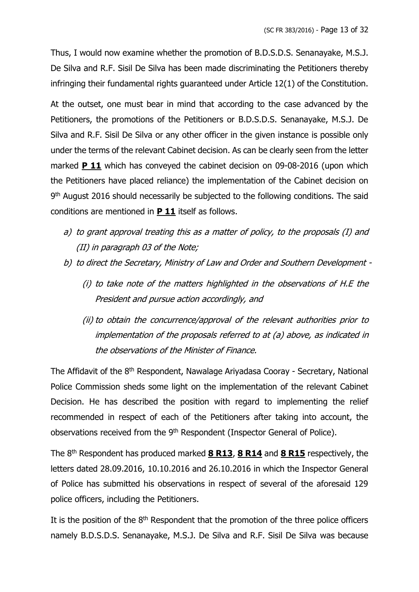Thus, I would now examine whether the promotion of B.D.S.D.S. Senanayake, M.S.J. De Silva and R.F. Sisil De Silva has been made discriminating the Petitioners thereby infringing their fundamental rights guaranteed under Article 12(1) of the Constitution.

At the outset, one must bear in mind that according to the case advanced by the Petitioners, the promotions of the Petitioners or B.D.S.D.S. Senanayake, M.S.J. De Silva and R.F. Sisil De Silva or any other officer in the given instance is possible only under the terms of the relevant Cabinet decision. As can be clearly seen from the letter marked **P 11** which has conveyed the cabinet decision on 09-08-2016 (upon which the Petitioners have placed reliance) the implementation of the Cabinet decision on 9<sup>th</sup> August 2016 should necessarily be subjected to the following conditions. The said conditions are mentioned in **P 11** itself as follows.

- a) to grant approval treating this as a matter of policy, to the proposals (I) and (II) in paragraph 03 of the Note;
- b) to direct the Secretary, Ministry of Law and Order and Southern Development
	- (i) to take note of the matters highlighted in the observations of H.E the President and pursue action accordingly, and
	- (ii) to obtain the concurrence/approval of the relevant authorities prior to implementation of the proposals referred to at (a) above, as indicated in the observations of the Minister of Finance.

The Affidavit of the 8<sup>th</sup> Respondent, Nawalage Ariyadasa Cooray - Secretary, National Police Commission sheds some light on the implementation of the relevant Cabinet Decision. He has described the position with regard to implementing the relief recommended in respect of each of the Petitioners after taking into account, the observations received from the 9<sup>th</sup> Respondent (Inspector General of Police).

The 8 th Respondent has produced marked **8 R13**, **8 R14** and **8 R15** respectively, the letters dated 28.09.2016, 10.10.2016 and 26.10.2016 in which the Inspector General of Police has submitted his observations in respect of several of the aforesaid 129 police officers, including the Petitioners.

It is the position of the  $8<sup>th</sup>$  Respondent that the promotion of the three police officers namely B.D.S.D.S. Senanayake, M.S.J. De Silva and R.F. Sisil De Silva was because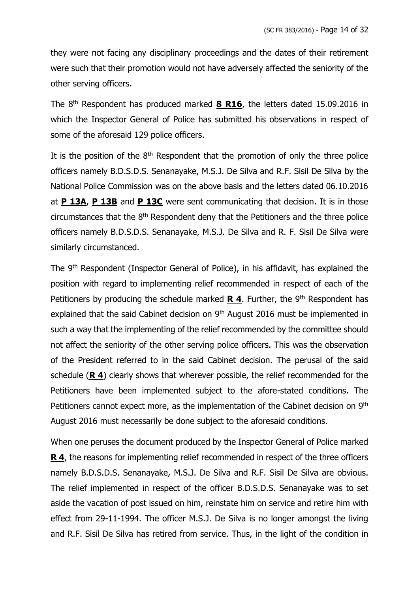they were not facing any disciplinary proceedings and the dates of their retirement were such that their promotion would not have adversely affected the seniority of the other serving officers.

The 8 th Respondent has produced marked **8 R16**, the letters dated 15.09.2016 in which the Inspector General of Police has submitted his observations in respect of some of the aforesaid 129 police officers.

It is the position of the  $8<sup>th</sup>$  Respondent that the promotion of only the three police officers namely B.D.S.D.S. Senanayake, M.S.J. De Silva and R.F. Sisil De Silva by the National Police Commission was on the above basis and the letters dated 06.10.2016 at **P 13A**, **P 13B** and **P 13C** were sent communicating that decision. It is in those circumstances that the  $8<sup>th</sup>$  Respondent deny that the Petitioners and the three police officers namely B.D.S.D.S. Senanayake, M.S.J. De Silva and R. F. Sisil De Silva were similarly circumstanced.

The 9<sup>th</sup> Respondent (Inspector General of Police), in his affidavit, has explained the position with regard to implementing relief recommended in respect of each of the Petitioners by producing the schedule marked **R 4**. Further, the 9<sup>th</sup> Respondent has explained that the said Cabinet decision on 9<sup>th</sup> August 2016 must be implemented in such a way that the implementing of the relief recommended by the committee should not affect the seniority of the other serving police officers. This was the observation of the President referred to in the said Cabinet decision. The perusal of the said schedule (**R 4**) clearly shows that wherever possible, the relief recommended for the Petitioners have been implemented subject to the afore-stated conditions. The Petitioners cannot expect more, as the implementation of the Cabinet decision on 9<sup>th</sup> August 2016 must necessarily be done subject to the aforesaid conditions.

When one peruses the document produced by the Inspector General of Police marked **R 4**, the reasons for implementing relief recommended in respect of the three officers namely B.D.S.D.S. Senanayake, M.S.J. De Silva and R.F. Sisil De Silva are obvious. The relief implemented in respect of the officer B.D.S.D.S. Senanayake was to set aside the vacation of post issued on him, reinstate him on service and retire him with effect from 29-11-1994. The officer M.S.J. De Silva is no longer amongst the living and R.F. Sisil De Silva has retired from service. Thus, in the light of the condition in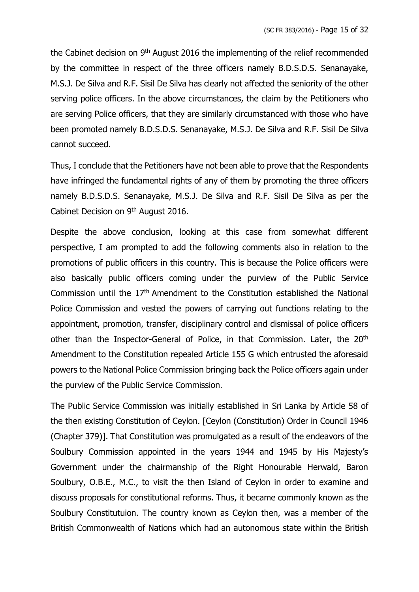the Cabinet decision on 9<sup>th</sup> August 2016 the implementing of the relief recommended by the committee in respect of the three officers namely B.D.S.D.S. Senanayake, M.S.J. De Silva and R.F. Sisil De Silva has clearly not affected the seniority of the other serving police officers. In the above circumstances, the claim by the Petitioners who are serving Police officers, that they are similarly circumstanced with those who have been promoted namely B.D.S.D.S. Senanayake, M.S.J. De Silva and R.F. Sisil De Silva cannot succeed.

Thus, I conclude that the Petitioners have not been able to prove that the Respondents have infringed the fundamental rights of any of them by promoting the three officers namely B.D.S.D.S. Senanayake, M.S.J. De Silva and R.F. Sisil De Silva as per the Cabinet Decision on 9<sup>th</sup> August 2016.

Despite the above conclusion, looking at this case from somewhat different perspective, I am prompted to add the following comments also in relation to the promotions of public officers in this country. This is because the Police officers were also basically public officers coming under the purview of the Public Service Commission until the 17th Amendment to the Constitution established the National Police Commission and vested the powers of carrying out functions relating to the appointment, promotion, transfer, disciplinary control and dismissal of police officers other than the Inspector-General of Police, in that Commission. Later, the 20<sup>th</sup> Amendment to the Constitution repealed Article 155 G which entrusted the aforesaid powers to the National Police Commission bringing back the Police officers again under the purview of the Public Service Commission.

The Public Service Commission was initially established in Sri Lanka by Article 58 of the then existing Constitution of Ceylon. [Ceylon (Constitution) Order in Council 1946 (Chapter 379)]. That Constitution was promulgated as a result of the endeavors of the Soulbury Commission appointed in the years 1944 and 1945 by His Majesty's Government under the chairmanship of the Right Honourable Herwald, Baron Soulbury, O.B.E., M.C., to visit the then Island of Ceylon in order to examine and discuss proposals for constitutional reforms. Thus, it became commonly known as the Soulbury Constitutuion. The country known as Ceylon then, was a member of the British Commonwealth of Nations which had an autonomous state within the British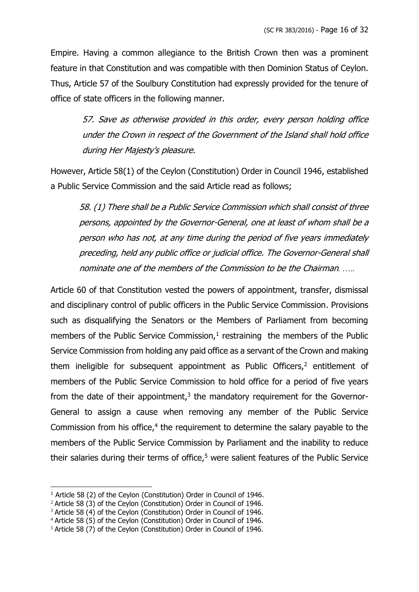Empire. Having a common allegiance to the British Crown then was a prominent feature in that Constitution and was compatible with then Dominion Status of Ceylon. Thus, Article 57 of the Soulbury Constitution had expressly provided for the tenure of office of state officers in the following manner.

57. Save as otherwise provided in this order, every person holding office under the Crown in respect of the Government of the Island shall hold office during Her Majesty's pleasure.

However, Article 58(1) of the Ceylon (Constitution) Order in Council 1946, established a Public Service Commission and the said Article read as follows;

58. (1) There shall be a Public Service Commission which shall consist of three persons, appointed by the Governor-General, one at least of whom shall be a person who has not, at any time during the period of five years immediately preceding, held any public office or judicial office. The Governor-General shall nominate one of the members of the Commission to be the Chairman*. …..*

Article 60 of that Constitution vested the powers of appointment, transfer, dismissal and disciplinary control of public officers in the Public Service Commission. Provisions such as disqualifying the Senators or the Members of Parliament from becoming members of the Public Service Commission, $1$  restraining the members of the Public Service Commission from holding any paid office as a servant of the Crown and making them ineligible for subsequent appointment as Public Officers, $2$  entitlement of members of the Public Service Commission to hold office for a period of five years from the date of their appointment, $3$  the mandatory requirement for the Governor-General to assign a cause when removing any member of the Public Service Commission from his office,<sup>4</sup> the requirement to determine the salary payable to the members of the Public Service Commission by Parliament and the inability to reduce their salaries during their terms of office,<sup>5</sup> were salient features of the Public Service

<sup>&</sup>lt;sup>1</sup> Article 58 (2) of the Ceylon (Constitution) Order in Council of 1946.

<sup>&</sup>lt;sup>2</sup> Article 58 (3) of the Ceylon (Constitution) Order in Council of 1946.

<sup>&</sup>lt;sup>3</sup> Article 58 (4) of the Ceylon (Constitution) Order in Council of 1946.

<sup>4</sup> Article 58 (5) of the Ceylon (Constitution) Order in Council of 1946.

<sup>&</sup>lt;sup>5</sup> Article 58 (7) of the Ceylon (Constitution) Order in Council of 1946.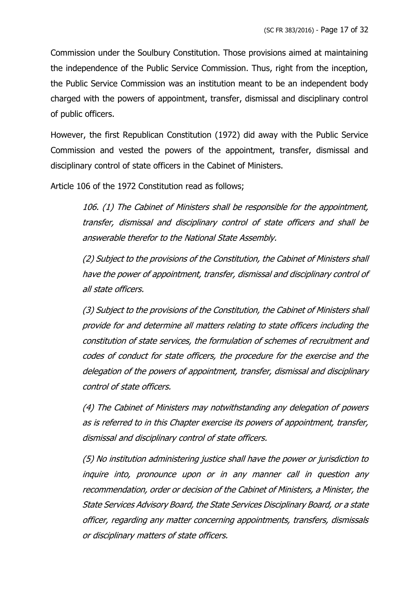Commission under the Soulbury Constitution. Those provisions aimed at maintaining the independence of the Public Service Commission. Thus, right from the inception, the Public Service Commission was an institution meant to be an independent body charged with the powers of appointment, transfer, dismissal and disciplinary control of public officers.

However, the first Republican Constitution (1972) did away with the Public Service Commission and vested the powers of the appointment, transfer, dismissal and disciplinary control of state officers in the Cabinet of Ministers.

Article 106 of the 1972 Constitution read as follows;

106. (1) The Cabinet of Ministers shall be responsible for the appointment, transfer, dismissal and disciplinary control of state officers and shall be answerable therefor to the National State Assembly.

(2) Subject to the provisions of the Constitution, the Cabinet of Ministers shall have the power of appointment, transfer, dismissal and disciplinary control of all state officers.

(3) Subject to the provisions of the Constitution, the Cabinet of Ministers shall provide for and determine all matters relating to state officers including the constitution of state services, the formulation of schemes of recruitment and codes of conduct for state officers, the procedure for the exercise and the delegation of the powers of appointment, transfer, dismissal and disciplinary control of state officers.

(4) The Cabinet of Ministers may notwithstanding any delegation of powers as is referred to in this Chapter exercise its powers of appointment, transfer, dismissal and disciplinary control of state officers.

(5) No institution administering justice shall have the power or jurisdiction to inquire into, pronounce upon or in any manner call in question any recommendation, order or decision of the Cabinet of Ministers, a Minister, the State Services Advisory Board, the State Services Disciplinary Board, or a state officer, regarding any matter concerning appointments, transfers, dismissals or disciplinary matters of state officers.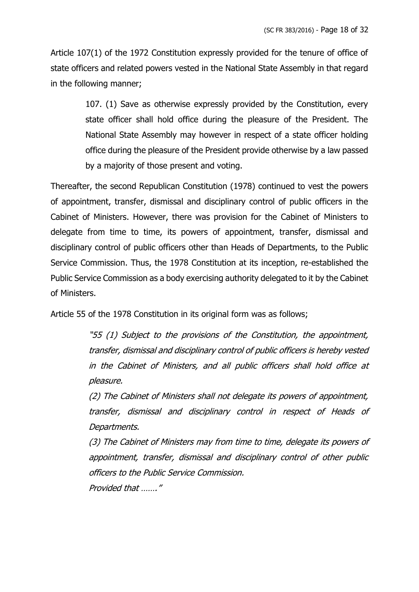Article 107(1) of the 1972 Constitution expressly provided for the tenure of office of state officers and related powers vested in the National State Assembly in that regard in the following manner;

> 107. (1) Save as otherwise expressly provided by the Constitution, every state officer shall hold office during the pleasure of the President. The National State Assembly may however in respect of a state officer holding office during the pleasure of the President provide otherwise by a law passed by a majority of those present and voting.

Thereafter, the second Republican Constitution (1978) continued to vest the powers of appointment, transfer, dismissal and disciplinary control of public officers in the Cabinet of Ministers. However, there was provision for the Cabinet of Ministers to delegate from time to time, its powers of appointment, transfer, dismissal and disciplinary control of public officers other than Heads of Departments, to the Public Service Commission. Thus, the 1978 Constitution at its inception, re-established the Public Service Commission as a body exercising authority delegated to it by the Cabinet of Ministers.

Article 55 of the 1978 Constitution in its original form was as follows;

"55 (1) Subject to the provisions of the Constitution, the appointment, transfer, dismissal and disciplinary control of public officers is hereby vested in the Cabinet of Ministers, and all public officers shall hold office at pleasure.

(2) The Cabinet of Ministers shall not delegate its powers of appointment, transfer, dismissal and disciplinary control in respect of Heads of Departments.

(3) The Cabinet of Ministers may from time to time, delegate its powers of appointment, transfer, dismissal and disciplinary control of other public officers to the Public Service Commission. Provided that ……."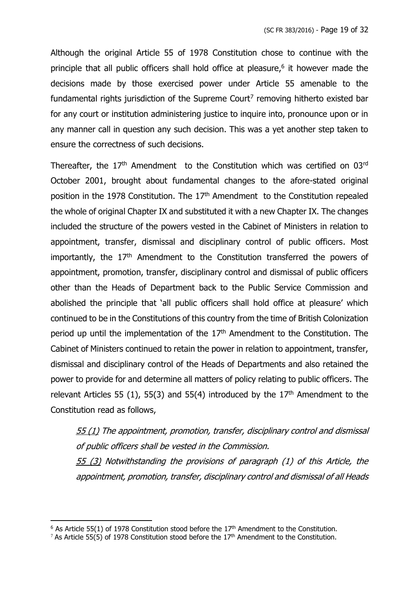Although the original Article 55 of 1978 Constitution chose to continue with the principle that all public officers shall hold office at pleasure, 6 it however made the decisions made by those exercised power under Article 55 amenable to the fundamental rights jurisdiction of the Supreme Court<sup>7</sup> removing hitherto existed bar for any court or institution administering justice to inquire into, pronounce upon or in any manner call in question any such decision. This was a yet another step taken to ensure the correctness of such decisions.

Thereafter, the 17<sup>th</sup> Amendment to the Constitution which was certified on 03<sup>rd</sup> October 2001, brought about fundamental changes to the afore-stated original position in the 1978 Constitution. The  $17<sup>th</sup>$  Amendment to the Constitution repealed the whole of original Chapter IX and substituted it with a new Chapter IX. The changes included the structure of the powers vested in the Cabinet of Ministers in relation to appointment, transfer, dismissal and disciplinary control of public officers. Most importantly, the  $17<sup>th</sup>$  Amendment to the Constitution transferred the powers of appointment, promotion, transfer, disciplinary control and dismissal of public officers other than the Heads of Department back to the Public Service Commission and abolished the principle that 'all public officers shall hold office at pleasure' which continued to be in the Constitutions of this country from the time of British Colonization period up until the implementation of the 17<sup>th</sup> Amendment to the Constitution. The Cabinet of Ministers continued to retain the power in relation to appointment, transfer, dismissal and disciplinary control of the Heads of Departments and also retained the power to provide for and determine all matters of policy relating to public officers. The relevant Articles 55 (1), 55(3) and 55(4) introduced by the  $17<sup>th</sup>$  Amendment to the Constitution read as follows,

55 (1) The appointment, promotion, transfer, disciplinary control and dismissal of public officers shall be vested in the Commission. 55 (3) Notwithstanding the provisions of paragraph (1) of this Article, the appointment, promotion, transfer, disciplinary control and dismissal of all Heads

 $6$  As Article 55(1) of 1978 Constitution stood before the 17<sup>th</sup> Amendment to the Constitution.

<sup>&</sup>lt;sup>7</sup> As Article 55(5) of 1978 Constitution stood before the 17<sup>th</sup> Amendment to the Constitution.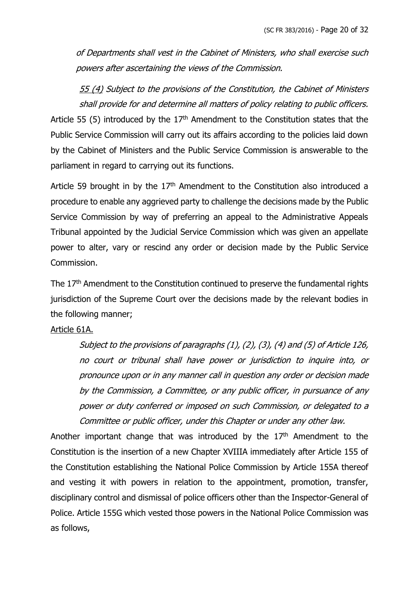of Departments shall vest in the Cabinet of Ministers, who shall exercise such powers after ascertaining the views of the Commission.

55 (4) Subject to the provisions of the Constitution, the Cabinet of Ministers shall provide for and determine all matters of policy relating to public officers. Article 55 (5) introduced by the  $17<sup>th</sup>$  Amendment to the Constitution states that the Public Service Commission will carry out its affairs according to the policies laid down by the Cabinet of Ministers and the Public Service Commission is answerable to the parliament in regard to carrying out its functions.

Article 59 brought in by the  $17<sup>th</sup>$  Amendment to the Constitution also introduced a procedure to enable any aggrieved party to challenge the decisions made by the Public Service Commission by way of preferring an appeal to the Administrative Appeals Tribunal appointed by the Judicial Service Commission which was given an appellate power to alter, vary or rescind any order or decision made by the Public Service Commission.

The 17<sup>th</sup> Amendment to the Constitution continued to preserve the fundamental rights jurisdiction of the Supreme Court over the decisions made by the relevant bodies in the following manner;

#### Article 61A.

Subject to the provisions of paragraphs (1), (2), (3), (4) and (5) of Article 126, no court or tribunal shall have power or jurisdiction to inquire into, or pronounce upon or in any manner call in question any order or decision made by the Commission, a Committee, or any public officer, in pursuance of any power or duty conferred or imposed on such Commission, or delegated to a Committee or public officer, under this Chapter or under any other law.

Another important change that was introduced by the  $17<sup>th</sup>$  Amendment to the Constitution is the insertion of a new Chapter XVIIIA immediately after Article 155 of the Constitution establishing the National Police Commission by Article 155A thereof and vesting it with powers in relation to the appointment, promotion, transfer, disciplinary control and dismissal of police officers other than the Inspector-General of Police. Article 155G which vested those powers in the National Police Commission was as follows,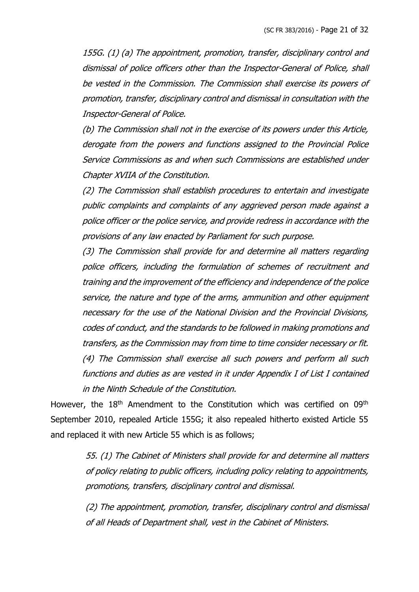155G. (1) (a) The appointment, promotion, transfer, disciplinary control and dismissal of police officers other than the Inspector-General of Police, shall be vested in the Commission. The Commission shall exercise its powers of promotion, transfer, disciplinary control and dismissal in consultation with the Inspector-General of Police.

(b) The Commission shall not in the exercise of its powers under this Article, derogate from the powers and functions assigned to the Provincial Police Service Commissions as and when such Commissions are established under Chapter XVIIA of the Constitution.

(2) The Commission shall establish procedures to entertain and investigate public complaints and complaints of any aggrieved person made against a police officer or the police service, and provide redress in accordance with the provisions of any law enacted by Parliament for such purpose.

(3) The Commission shall provide for and determine all matters regarding police officers, including the formulation of schemes of recruitment and training and the improvement of the efficiency and independence of the police service, the nature and type of the arms, ammunition and other equipment necessary for the use of the National Division and the Provincial Divisions, codes of conduct, and the standards to be followed in making promotions and transfers, as the Commission may from time to time consider necessary or fit. (4) The Commission shall exercise all such powers and perform all such functions and duties as are vested in it under Appendix I of List I contained in the Ninth Schedule of the Constitution.

However, the 18<sup>th</sup> Amendment to the Constitution which was certified on 09<sup>th</sup> September 2010, repealed Article 155G; it also repealed hitherto existed Article 55 and replaced it with new Article 55 which is as follows;

> 55. (1) The Cabinet of Ministers shall provide for and determine all matters of policy relating to public officers, including policy relating to appointments, promotions, transfers, disciplinary control and dismissal.

> (2) The appointment, promotion, transfer, disciplinary control and dismissal of all Heads of Department shall, vest in the Cabinet of Ministers.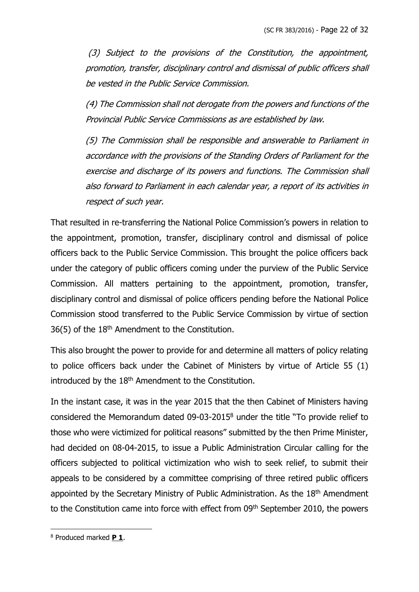(3) Subject to the provisions of the Constitution, the appointment, promotion, transfer, disciplinary control and dismissal of public officers shall be vested in the Public Service Commission.

(4) The Commission shall not derogate from the powers and functions of the Provincial Public Service Commissions as are established by law.

(5) The Commission shall be responsible and answerable to Parliament in accordance with the provisions of the Standing Orders of Parliament for the exercise and discharge of its powers and functions. The Commission shall also forward to Parliament in each calendar year, a report of its activities in respect of such year.

That resulted in re-transferring the National Police Commission's powers in relation to the appointment, promotion, transfer, disciplinary control and dismissal of police officers back to the Public Service Commission. This brought the police officers back under the category of public officers coming under the purview of the Public Service Commission. All matters pertaining to the appointment, promotion, transfer, disciplinary control and dismissal of police officers pending before the National Police Commission stood transferred to the Public Service Commission by virtue of section 36(5) of the 18th Amendment to the Constitution.

This also brought the power to provide for and determine all matters of policy relating to police officers back under the Cabinet of Ministers by virtue of Article 55 (1) introduced by the 18<sup>th</sup> Amendment to the Constitution.

In the instant case, it was in the year 2015 that the then Cabinet of Ministers having considered the Memorandum dated 09-03-2015<sup>8</sup> under the title "To provide relief to those who were victimized for political reasons" submitted by the then Prime Minister, had decided on 08-04-2015, to issue a Public Administration Circular calling for the officers subjected to political victimization who wish to seek relief, to submit their appeals to be considered by a committee comprising of three retired public officers appointed by the Secretary Ministry of Public Administration. As the 18<sup>th</sup> Amendment to the Constitution came into force with effect from 09<sup>th</sup> September 2010, the powers

<sup>8</sup> Produced marked **P 1**.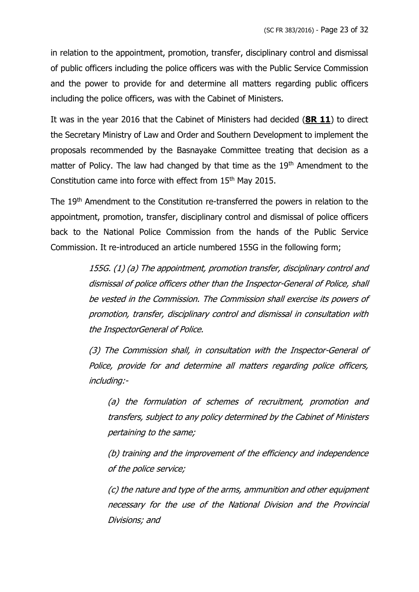in relation to the appointment, promotion, transfer, disciplinary control and dismissal of public officers including the police officers was with the Public Service Commission and the power to provide for and determine all matters regarding public officers including the police officers, was with the Cabinet of Ministers.

It was in the year 2016 that the Cabinet of Ministers had decided (**8R 11**) to direct the Secretary Ministry of Law and Order and Southern Development to implement the proposals recommended by the Basnayake Committee treating that decision as a matter of Policy. The law had changed by that time as the 19<sup>th</sup> Amendment to the Constitution came into force with effect from 15<sup>th</sup> May 2015.

The 19<sup>th</sup> Amendment to the Constitution re-transferred the powers in relation to the appointment, promotion, transfer, disciplinary control and dismissal of police officers back to the National Police Commission from the hands of the Public Service Commission. It re-introduced an article numbered 155G in the following form;

> 155G. (1) (a) The appointment, promotion transfer, disciplinary control and dismissal of police officers other than the Inspector-General of Police, shall be vested in the Commission. The Commission shall exercise its powers of promotion, transfer, disciplinary control and dismissal in consultation with the InspectorGeneral of Police.

> (3) The Commission shall, in consultation with the Inspector-General of Police, provide for and determine all matters regarding police officers, including:-

(a) the formulation of schemes of recruitment, promotion and transfers, subject to any policy determined by the Cabinet of Ministers pertaining to the same;

(b) training and the improvement of the efficiency and independence of the police service;

(c) the nature and type of the arms, ammunition and other equipment necessary for the use of the National Division and the Provincial Divisions; and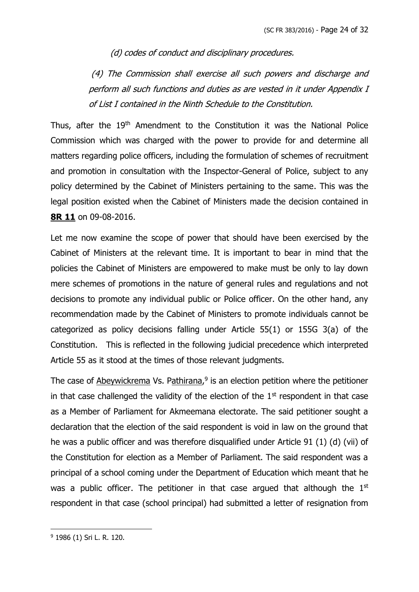(d) codes of conduct and disciplinary procedures.

(4) The Commission shall exercise all such powers and discharge and perform all such functions and duties as are vested in it under Appendix I of List I contained in the Ninth Schedule to the Constitution.

Thus, after the 19<sup>th</sup> Amendment to the Constitution it was the National Police Commission which was charged with the power to provide for and determine all matters regarding police officers, including the formulation of schemes of recruitment and promotion in consultation with the Inspector-General of Police, subject to any policy determined by the Cabinet of Ministers pertaining to the same. This was the legal position existed when the Cabinet of Ministers made the decision contained in **8R 11** on 09-08-2016.

Let me now examine the scope of power that should have been exercised by the Cabinet of Ministers at the relevant time. It is important to bear in mind that the policies the Cabinet of Ministers are empowered to make must be only to lay down mere schemes of promotions in the nature of general rules and regulations and not decisions to promote any individual public or Police officer. On the other hand, any recommendation made by the Cabinet of Ministers to promote individuals cannot be categorized as policy decisions falling under Article 55(1) or 155G 3(a) of the Constitution. This is reflected in the following judicial precedence which interpreted Article 55 as it stood at the times of those relevant judgments.

The case of Abeywickrema Vs. Pathirana,<sup>9</sup> is an election petition where the petitioner in that case challenged the validity of the election of the  $1<sup>st</sup>$  respondent in that case as a Member of Parliament for Akmeemana electorate. The said petitioner sought a declaration that the election of the said respondent is void in law on the ground that he was a public officer and was therefore disqualified under Article 91 (1) (d) (vii) of the Constitution for election as a Member of Parliament. The said respondent was a principal of a school coming under the Department of Education which meant that he was a public officer. The petitioner in that case argued that although the  $1<sup>st</sup>$ respondent in that case (school principal) had submitted a letter of resignation from

<sup>9</sup> 1986 (1) Sri L. R. 120.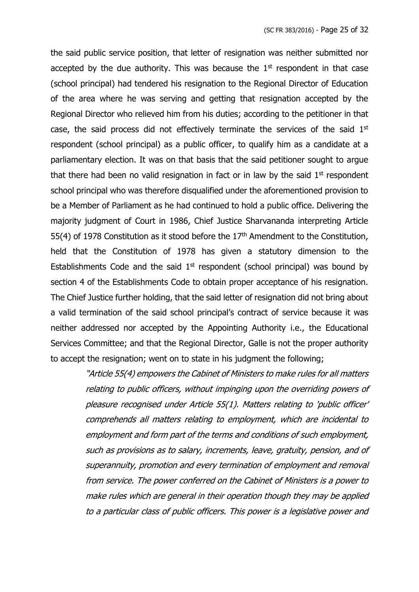the said public service position, that letter of resignation was neither submitted nor accepted by the due authority. This was because the  $1<sup>st</sup>$  respondent in that case (school principal) had tendered his resignation to the Regional Director of Education of the area where he was serving and getting that resignation accepted by the Regional Director who relieved him from his duties; according to the petitioner in that case, the said process did not effectively terminate the services of the said  $1<sup>st</sup>$ respondent (school principal) as a public officer, to qualify him as a candidate at a parliamentary election. It was on that basis that the said petitioner sought to argue that there had been no valid resignation in fact or in law by the said  $1<sup>st</sup>$  respondent school principal who was therefore disqualified under the aforementioned provision to be a Member of Parliament as he had continued to hold a public office. Delivering the majority judgment of Court in 1986, Chief Justice Sharvananda interpreting Article 55(4) of 1978 Constitution as it stood before the  $17<sup>th</sup>$  Amendment to the Constitution, held that the Constitution of 1978 has given a statutory dimension to the Establishments Code and the said  $1<sup>st</sup>$  respondent (school principal) was bound by section 4 of the Establishments Code to obtain proper acceptance of his resignation. The Chief Justice further holding, that the said letter of resignation did not bring about a valid termination of the said school principal's contract of service because it was neither addressed nor accepted by the Appointing Authority i.e., the Educational Services Committee; and that the Regional Director, Galle is not the proper authority to accept the resignation; went on to state in his judgment the following;

> "Article 55(4) empowers the Cabinet of Ministers to make rules for all matters relating to public officers, without impinging upon the overriding powers of pleasure recognised under Article 55(1). Matters relating to 'public officer' comprehends all matters relating to employment, which are incidental to employment and form part of the terms and conditions of such employment, such as provisions as to salary, increments, leave, gratuity, pension, and of superannuity, promotion and every termination of employment and removal from service. The power conferred on the Cabinet of Ministers is a power to make rules which are general in their operation though they may be applied to a particular class of public officers. This power is a legislative power and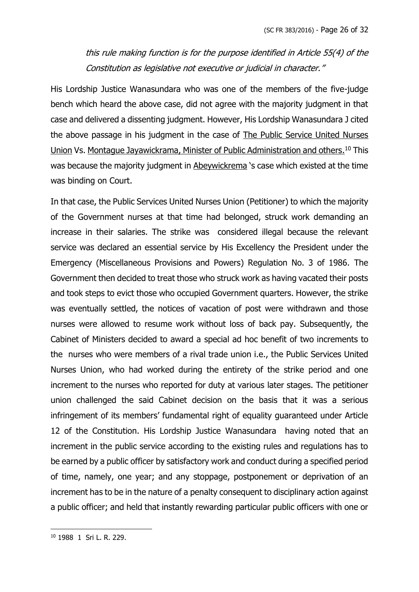this rule making function is for the purpose identified in Article 55(4) of the Constitution as legislative not executive or judicial in character."

His Lordship Justice Wanasundara who was one of the members of the five-judge bench which heard the above case, did not agree with the majority judgment in that case and delivered a dissenting judgment. However, His Lordship Wanasundara J cited the above passage in his judgment in the case of The Public Service United Nurses Union Vs. Montague Jayawickrama, Minister of Public Administration and others.<sup>10</sup> This was because the majority judgment in Abeywickrema 's case which existed at the time was binding on Court.

In that case, the Public Services United Nurses Union (Petitioner) to which the majority of the Government nurses at that time had belonged, struck work demanding an increase in their salaries. The strike was considered illegal because the relevant service was declared an essential service by His Excellency the President under the Emergency (Miscellaneous Provisions and Powers) Regulation No. 3 of 1986. The Government then decided to treat those who struck work as having vacated their posts and took steps to evict those who occupied Government quarters. However, the strike was eventually settled, the notices of vacation of post were withdrawn and those nurses were allowed to resume work without loss of back pay. Subsequently, the Cabinet of Ministers decided to award a special ad hoc benefit of two increments to the nurses who were members of a rival trade union i.e., the Public Services United Nurses Union, who had worked during the entirety of the strike period and one increment to the nurses who reported for duty at various later stages. The petitioner union challenged the said Cabinet decision on the basis that it was a serious infringement of its members' fundamental right of equality guaranteed under Article 12 of the Constitution. His Lordship Justice Wanasundara having noted that an increment in the public service according to the existing rules and regulations has to be earned by a public officer by satisfactory work and conduct during a specified period of time, namely, one year; and any stoppage, postponement or deprivation of an increment has to be in the nature of a penalty consequent to disciplinary action against a public officer; and held that instantly rewarding particular public officers with one or

<sup>10</sup> 1988 1 Sri L. R. 229.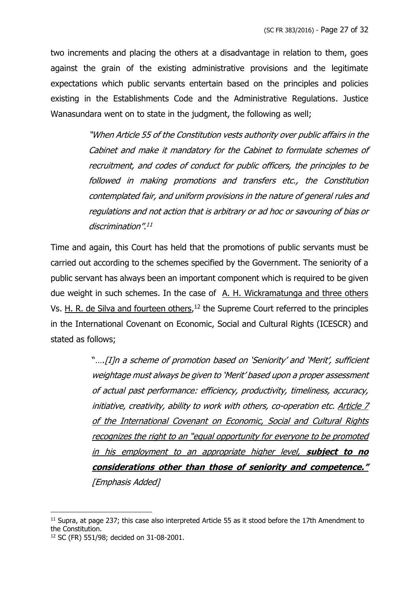two increments and placing the others at a disadvantage in relation to them, goes against the grain of the existing administrative provisions and the legitimate expectations which public servants entertain based on the principles and policies existing in the Establishments Code and the Administrative Regulations. Justice Wanasundara went on to state in the judgment, the following as well;

> "When Article 55 of the Constitution vests authority over public affairs in the Cabinet and make it mandatory for the Cabinet to formulate schemes of recruitment, and codes of conduct for public officers, the principles to be followed in making promotions and transfers etc., the Constitution contemplated fair, and uniform provisions in the nature of general rules and regulations and not action that is arbitrary or ad hoc or savouring of bias or discrimination". 11

Time and again, this Court has held that the promotions of public servants must be carried out according to the schemes specified by the Government. The seniority of a public servant has always been an important component which is required to be given due weight in such schemes. In the case of A. H. Wickramatunga and three others Vs. H. R. de Silva and fourteen others,<sup>12</sup> the Supreme Court referred to the principles in the International Covenant on Economic, Social and Cultural Rights (ICESCR) and stated as follows;

> "….[I]n a scheme of promotion based on 'Seniority' and 'Merit', sufficient weightage must always be given to 'Merit' based upon a proper assessment of actual past performance: efficiency, productivity, timeliness, accuracy, initiative, creativity, ability to work with others, co-operation etc. Article 7 of the International Covenant on Economic, Social and Cultural Rights recognizes the right to an "equal opportunity for everyone to be promoted in his employment to an appropriate higher level, **subject to no considerations other than those of seniority and competence."**  [Emphasis Added]

 $11$  Supra, at page 237; this case also interpreted Article 55 as it stood before the 17th Amendment to the Constitution.

<sup>12</sup> SC (FR) 551/98; decided on 31-08-2001.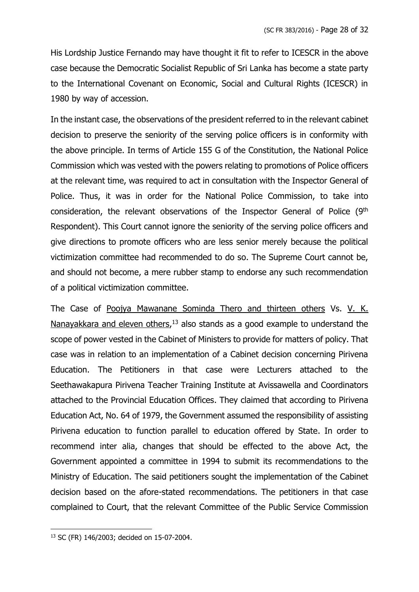His Lordship Justice Fernando may have thought it fit to refer to ICESCR in the above case because the Democratic Socialist Republic of Sri Lanka has become a state party to the International Covenant on Economic, Social and Cultural Rights (ICESCR) in 1980 by way of accession.

In the instant case, the observations of the president referred to in the relevant cabinet decision to preserve the seniority of the serving police officers is in conformity with the above principle. In terms of Article 155 G of the Constitution, the National Police Commission which was vested with the powers relating to promotions of Police officers at the relevant time, was required to act in consultation with the Inspector General of Police. Thus, it was in order for the National Police Commission, to take into consideration, the relevant observations of the Inspector General of Police (9<sup>th</sup> Respondent). This Court cannot ignore the seniority of the serving police officers and give directions to promote officers who are less senior merely because the political victimization committee had recommended to do so. The Supreme Court cannot be, and should not become, a mere rubber stamp to endorse any such recommendation of a political victimization committee.

The Case of Poojya Mawanane Sominda Thero and thirteen others Vs. V. K. Nanayakkara and eleven others,<sup>13</sup> also stands as a good example to understand the scope of power vested in the Cabinet of Ministers to provide for matters of policy. That case was in relation to an implementation of a Cabinet decision concerning Pirivena Education. The Petitioners in that case were Lecturers attached to the Seethawakapura Pirivena Teacher Training Institute at Avissawella and Coordinators attached to the Provincial Education Offices. They claimed that according to Pirivena Education Act, No. 64 of 1979, the Government assumed the responsibility of assisting Pirivena education to function parallel to education offered by State. In order to recommend inter alia, changes that should be effected to the above Act, the Government appointed a committee in 1994 to submit its recommendations to the Ministry of Education. The said petitioners sought the implementation of the Cabinet decision based on the afore-stated recommendations. The petitioners in that case complained to Court, that the relevant Committee of the Public Service Commission

<sup>13</sup> SC (FR) 146/2003; decided on 15-07-2004.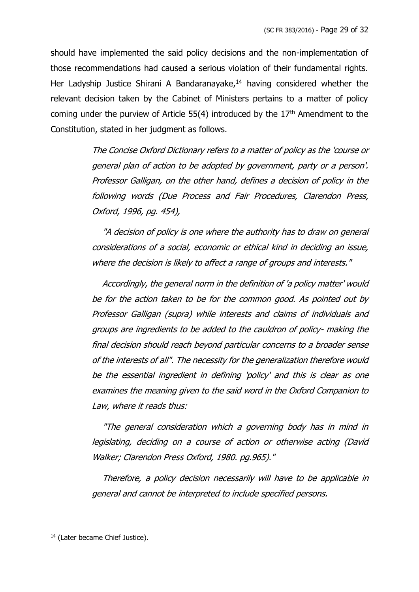should have implemented the said policy decisions and the non-implementation of those recommendations had caused a serious violation of their fundamental rights. Her Ladyship Justice Shirani A Bandaranayake, $14$  having considered whether the relevant decision taken by the Cabinet of Ministers pertains to a matter of policy coming under the purview of Article  $55(4)$  introduced by the  $17<sup>th</sup>$  Amendment to the Constitution, stated in her judgment as follows.

> The Concise Oxford Dictionary refers to a matter of policy as the 'course or general plan of action to be adopted by government, party or a person'. Professor Galligan, on the other hand, defines a decision of policy in the following words (Due Process and Fair Procedures, Clarendon Press, Oxford, 1996, pg. 454),

> "A decision of policy is one where the authority has to draw on general considerations of a social, economic or ethical kind in deciding an issue, where the decision is likely to affect a range of groups and interests."

> Accordingly, the general norm in the definition of 'a policy matter' would be for the action taken to be for the common good. As pointed out by Professor Galligan (supra) while interests and claims of individuals and groups are ingredients to be added to the cauldron of policy- making the final decision should reach beyond particular concerns to a broader sense of the interests of all". The necessity for the generalization therefore would be the essential ingredient in defining 'policy' and this is clear as one examines the meaning given to the said word in the Oxford Companion to Law, where it reads thus:

> "The general consideration which a governing body has in mind in legislating, deciding on a course of action or otherwise acting (David Walker; Clarendon Press Oxford, 1980. pg.965)."

> Therefore, a policy decision necessarily will have to be applicable in general and cannot be interpreted to include specified persons.

<sup>&</sup>lt;sup>14</sup> (Later became Chief Justice).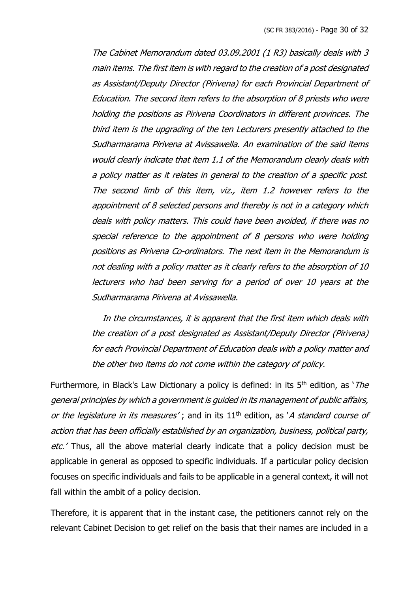The Cabinet Memorandum dated 03.09.2001 (1 R3) basically deals with 3 main items. The first item is with regard to the creation of a post designated as Assistant/Deputy Director (Pirivena) for each Provincial Department of Education. The second item refers to the absorption of 8 priests who were holding the positions as Pirivena Coordinators in different provinces. The third item is the upgrading of the ten Lecturers presently attached to the Sudharmarama Pirivena at Avissawella. An examination of the said items would clearly indicate that item 1.1 of the Memorandum clearly deals with a policy matter as it relates in general to the creation of a specific post. The second limb of this item, viz., item 1.2 however refers to the appointment of 8 selected persons and thereby is not in a category which deals with policy matters. This could have been avoided, if there was no special reference to the appointment of 8 persons who were holding positions as Pirivena Co-ordinators. The next item in the Memorandum is not dealing with a policy matter as it clearly refers to the absorption of 10 lecturers who had been serving for a period of over 10 years at the Sudharmarama Pirivena at Avissawella.

 In the circumstances, it is apparent that the first item which deals with the creation of a post designated as Assistant/Deputy Director (Pirivena) for each Provincial Department of Education deals with a policy matter and the other two items do not come within the category of policy.

Furthermore, in Black's Law Dictionary a policy is defined: in its  $5<sup>th</sup>$  edition, as '*The* general principles by which a government is guided in its management of public affairs, or the legislature in its measures'; and in its  $11<sup>th</sup>$  edition, as 'A standard course of action that has been officially established by an organization, business, political party, etc.' Thus, all the above material clearly indicate that a policy decision must be applicable in general as opposed to specific individuals. If a particular policy decision focuses on specific individuals and fails to be applicable in a general context, it will not fall within the ambit of a policy decision.

Therefore, it is apparent that in the instant case, the petitioners cannot rely on the relevant Cabinet Decision to get relief on the basis that their names are included in a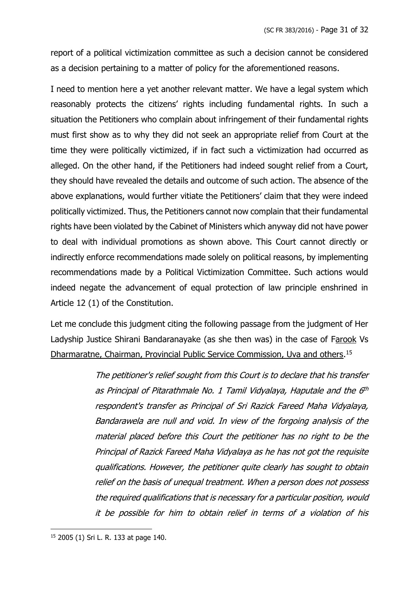report of a political victimization committee as such a decision cannot be considered as a decision pertaining to a matter of policy for the aforementioned reasons.

I need to mention here a yet another relevant matter. We have a legal system which reasonably protects the citizens' rights including fundamental rights. In such a situation the Petitioners who complain about infringement of their fundamental rights must first show as to why they did not seek an appropriate relief from Court at the time they were politically victimized, if in fact such a victimization had occurred as alleged. On the other hand, if the Petitioners had indeed sought relief from a Court, they should have revealed the details and outcome of such action. The absence of the above explanations, would further vitiate the Petitioners' claim that they were indeed politically victimized. Thus, the Petitioners cannot now complain that their fundamental rights have been violated by the Cabinet of Ministers which anyway did not have power to deal with individual promotions as shown above. This Court cannot directly or indirectly enforce recommendations made solely on political reasons, by implementing recommendations made by a Political Victimization Committee. Such actions would indeed negate the advancement of equal protection of law principle enshrined in Article 12 (1) of the Constitution.

Let me conclude this judgment citing the following passage from the judgment of Her Ladyship Justice Shirani Bandaranayake (as she then was) in the case of Farook Vs Dharmaratne, Chairman, Provincial Public Service Commission, Uva and others.<sup>15</sup>

> The petitioner's relief sought from this Court is to declare that his transfer as Principal of Pitarathmale No. 1 Tamil Vidyalaya, Haputale and the 6th respondent's transfer as Principal of Sri Razick Fareed Maha Vidyalaya, Bandarawela are null and void. In view of the forgoing analysis of the material placed before this Court the petitioner has no right to be the Principal of Razick Fareed Maha Vidyalaya as he has not got the requisite qualifications. However, the petitioner quite clearly has sought to obtain relief on the basis of unequal treatment. When a person does not possess the required qualifications that is necessary for a particular position, would it be possible for him to obtain relief in terms of a violation of his

<sup>15</sup> 2005 (1) Sri L. R. 133 at page 140.